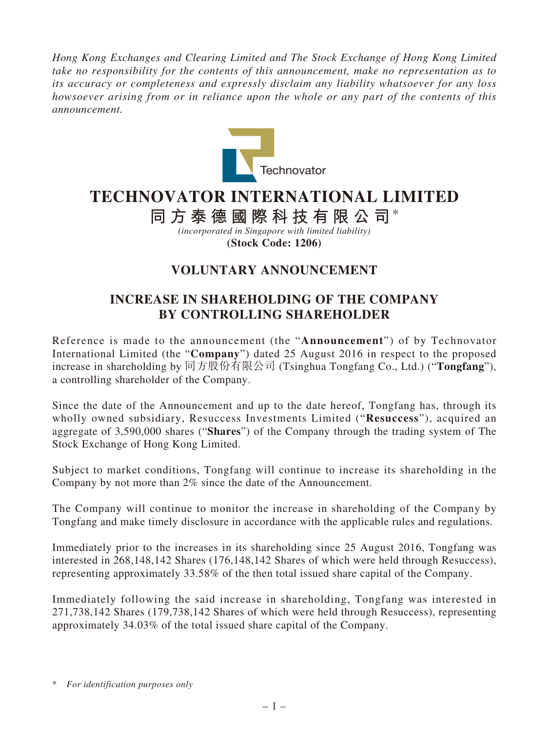*Hong Kong Exchanges and Clearing Limited and The Stock Exchange of Hong Kong Limited take no responsibility for the contents of this announcement, make no representation as to its accuracy or completeness and expressly disclaim any liability whatsoever for any loss howsoever arising from or in reliance upon the whole or any part of the contents of this announcement.*



## **TECHNOVATOR INTERNATIONAL LIMITED**

**同方泰德國際科技有限公司**\*

*(incorporated in Singapore with limited liability)* **(Stock Code: 1206)**

## **VOLUNTARY ANNOUNCEMENT**

## **INCREASE IN SHAREHOLDING OF THE COMPANY BY CONTROLLING SHAREHOLDER**

Reference is made to the announcement (the "**Announcement**") of by Technovator International Limited (the "**Company**") dated 25 August 2016 in respect to the proposed increase in shareholding by 同方股份有限公司 (Tsinghua Tongfang Co., Ltd.) ("**Tongfang**"), a controlling shareholder of the Company.

Since the date of the Announcement and up to the date hereof, Tongfang has, through its wholly owned subsidiary, Resuccess Investments Limited ("**Resuccess**"), acquired an aggregate of 3,590,000 shares ("**Shares**") of the Company through the trading system of The Stock Exchange of Hong Kong Limited.

Subject to market conditions, Tongfang will continue to increase its shareholding in the Company by not more than 2% since the date of the Announcement.

The Company will continue to monitor the increase in shareholding of the Company by Tongfang and make timely disclosure in accordance with the applicable rules and regulations.

Immediately prior to the increases in its shareholding since 25 August 2016, Tongfang was interested in 268,148,142 Shares (176,148,142 Shares of which were held through Resuccess), representing approximately 33.58% of the then total issued share capital of the Company.

Immediately following the said increase in shareholding, Tongfang was interested in 271,738,142 Shares (179,738,142 Shares of which were held through Resuccess), representing approximately 34.03% of the total issued share capital of the Company.

<sup>\*</sup> *For identification purposes only*